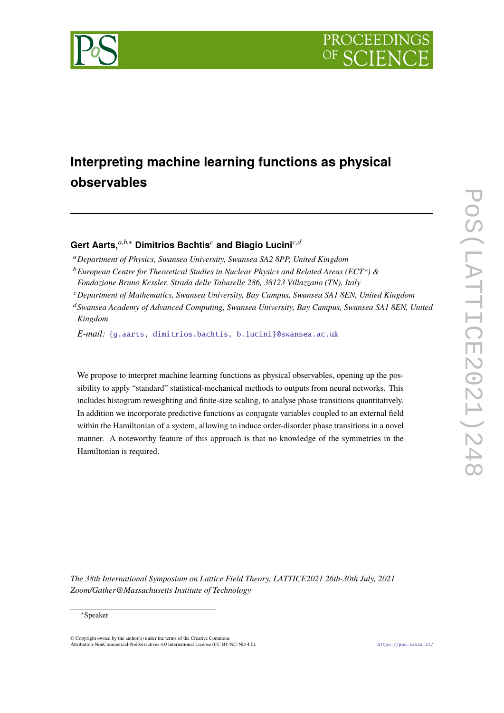



# **Interpreting machine learning functions as physical observables**

# Gert Aarts,<sup>*a,b,∗*</sub> Dimitrios Bachtis<sup>*c*</sup> and Biagio Lucini<sup>*c,d*</sup></sup>

- <sup>a</sup>*Department of Physics, Swansea University, Swansea SA2 8PP, United Kingdom*
- <sup>b</sup>*European Centre for Theoretical Studies in Nuclear Physics and Related Areas (ECT\*) &*
- *Fondazione Bruno Kessler, Strada delle Tabarelle 286, 38123 Villazzano (TN), Italy*
- <sup>c</sup>*Department of Mathematics, Swansea University, Bay Campus, Swansea SA1 8EN, United Kingdom*
- <sup>d</sup>*Swansea Academy of Advanced Computing, Swansea University, Bay Campus, Swansea SA1 8EN, United Kingdom*

*E-mail:* [{g.aarts, dimitrios.bachtis, b.lucini}@swansea.ac.uk](mailto:\protect \T1\textbraceleft g.aarts, dimitrios.bachtis, b.lucini\protect \T1\textbraceright @swansea.ac.uk)

We propose to interpret machine learning functions as physical observables, opening up the possibility to apply "standard" statistical-mechanical methods to outputs from neural networks. This includes histogram reweighting and finite-size scaling, to analyse phase transitions quantitatively. In addition we incorporate predictive functions as conjugate variables coupled to an external field within the Hamiltonian of a system, allowing to induce order-disorder phase transitions in a novel manner. A noteworthy feature of this approach is that no knowledge of the symmetries in the Hamiltonian is required.

*The 38th International Symposium on Lattice Field Theory, LATTICE2021 26th-30th July, 2021 Zoom/Gather@Massachusetts Institute of Technology*

#### <sup>∗</sup>Speaker

 $\odot$  Copyright owned by the author(s) under the terms of the Creative Common Attribution-NonCommercial-NoDerivatives 4.0 International License (CC BY-NC-ND 4.0). <https://pos.sissa.it/>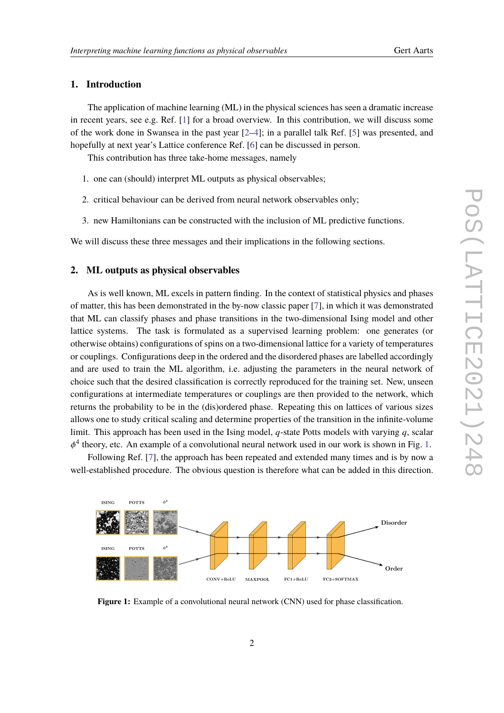### **1. Introduction**

The application of machine learning (ML) in the physical sciences has seen a dramatic increase in recent years, see e.g. Ref. [\[1\]](#page-6-0) for a broad overview. In this contribution, we will discuss some of the work done in Swansea in the past year [\[2](#page-6-1)[–4\]](#page-6-2); in a parallel talk Ref. [\[5\]](#page-6-3) was presented, and hopefully at next year's Lattice conference Ref. [\[6\]](#page-6-4) can be discussed in person.

This contribution has three take-home messages, namely

- 1. one can (should) interpret ML outputs as physical observables;
- 2. critical behaviour can be derived from neural network observables only;
- 3. new Hamiltonians can be constructed with the inclusion of ML predictive functions.

We will discuss these three messages and their implications in the following sections.

#### **2. ML outputs as physical observables**

As is well known, ML excels in pattern finding. In the context of statistical physics and phases of matter, this has been demonstrated in the by-now classic paper [\[7\]](#page-6-5), in which it was demonstrated that ML can classify phases and phase transitions in the two-dimensional Ising model and other lattice systems. The task is formulated as a supervised learning problem: one generates (or otherwise obtains) configurations of spins on a two-dimensional lattice for a variety of temperatures or couplings. Configurations deep in the ordered and the disordered phases are labelled accordingly and are used to train the ML algorithm, i.e. adjusting the parameters in the neural network of choice such that the desired classification is correctly reproduced for the training set. New, unseen configurations at intermediate temperatures or couplings are then provided to the network, which returns the probability to be in the (dis)ordered phase. Repeating this on lattices of various sizes allows one to study critical scaling and determine properties of the transition in the infinite-volume limit. This approach has been used in the Ising model, *q*-state Potts models with varying *q*, scalar <sup>4</sup> theory, etc. An example of a convolutional neural network used in our work is shown in Fig. [1.](#page-1-0)

φ Following Ref. [\[7\]](#page-6-5), the approach has been repeated and extended many times and is by now a well-established procedure. The obvious question is therefore what can be added in this direction.

<span id="page-1-0"></span>

**Figure 1:** Example of a convolutional neural network (CNN) used for phase classification.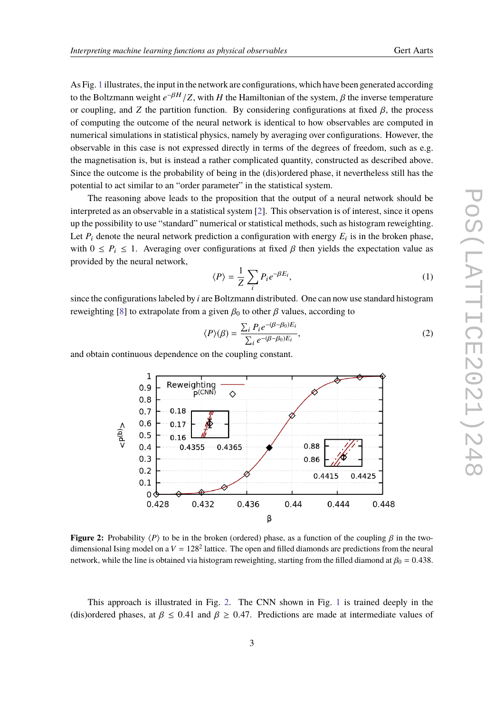As Fig. [1](#page-1-0) illustrates, the input in the network are configurations, which have been generated according to the Boltzmann weight  $e^{-\beta H}/Z$ , with *H* the Hamiltonian of the system,  $\beta$  the inverse temperature or coupling, and *Z* the partition function. By considering configurations at fixed  $\beta$ , the process of computing the outcome of the neural network is identical to how observables are computed in numerical simulations in statistical physics, namely by averaging over configurations. However, the observable in this case is not expressed directly in terms of the degrees of freedom, such as e.g. the magnetisation is, but is instead a rather complicated quantity, constructed as described above. Since the outcome is the probability of being in the (dis)ordered phase, it nevertheless still has the potential to act similar to an "order parameter" in the statistical system.

The reasoning above leads to the proposition that the output of a neural network should be interpreted as an observable in a statistical system [\[2\]](#page-6-1). This observation is of interest, since it opens up the possibility to use "standard" numerical or statistical methods, such as histogram reweighting. Let  $P_i$  denote the neural network prediction a configuration with energy  $E_i$  is in the broken phase, with  $0 \leq P_i \leq 1$ . Averaging over configurations at fixed  $\beta$  then yields the expectation value as provided by the neural network,

$$
\langle P \rangle = \frac{1}{Z} \sum_{i} P_i e^{-\beta E_i}, \tag{1}
$$

since the configurations labeled by *i* are Boltzmann distributed. One can now use standard histogram reweighting [\[8\]](#page-6-6) to extrapolate from a given  $\beta_0$  to other  $\beta$  values, according to

$$
\langle P \rangle(\beta) = \frac{\sum_{i} P_i e^{-(\beta - \beta_0)E_i}}{\sum_{i} e^{-(\beta - \beta_0)E_i}},\tag{2}
$$

 $0.88$ 

 $0.86$ 

0.44

0.4415

0.444

0.4425

0.448

<span id="page-2-0"></span>and obtain continuous dependence on the coupling constant.

 $0.18$ 

 $0:17$ 

 $0.16$ 

Reweighting

0.4355

0.432

p(CNN)

♦

 $0.4365$ 

 $\mathbf{1}$ 

 $0.9$ 

 $0.8$  $0.7$ 

 $0.6$ 

 $0.5$ 

 $0.4$ 

 $0.3$ 

 $0.2$ 

 $0.1$  $0<sub>1</sub>$ 0.428

 $\leq$ (q)d<sup>2</sup>



β

0.436

This approach is illustrated in Fig. [2.](#page-2-0) The CNN shown in Fig. [1](#page-1-0) is trained deeply in the (dis)ordered phases, at  $\beta \leq 0.41$  and  $\beta \geq 0.47$ . Predictions are made at intermediate values of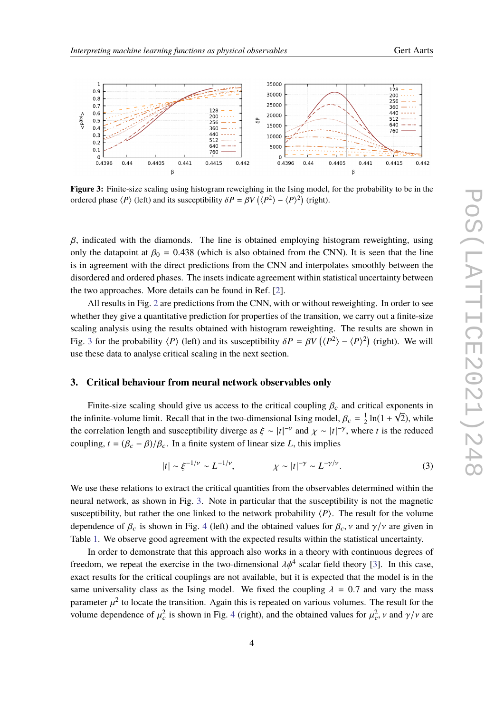<span id="page-3-0"></span>

**Figure 3:** Finite-size scaling using histogram reweighing in the Ising model, for the probability to be in the ordered phase  $\langle P \rangle$  (left) and its susceptibility  $\delta P = \beta V (\langle P^2 \rangle - \langle P \rangle^2)$  (right).

 $β$ , indicated with the diamonds. The line is obtained employing histogram reweighting, using only the datapoint at  $\beta_0 = 0.438$  (which is also obtained from the CNN). It is seen that the line is in agreement with the direct predictions from the CNN and interpolates smoothly between the disordered and ordered phases. The insets indicate agreement within statistical uncertainty between the two approaches. More details can be found in Ref. [\[2\]](#page-6-1).

All results in Fig. [2](#page-2-0) are predictions from the CNN, with or without reweighting. In order to see whether they give a quantitative prediction for properties of the transition, we carry out a finite-size scaling analysis using the results obtained with histogram reweighting. The results are shown in Fig. [3](#page-3-0) for the probability  $\langle P \rangle$  (left) and its susceptibility  $\delta P = \beta V (\langle P^2 \rangle - \langle P \rangle^2)$  (right). We will we these data to engly so gritical espling in the part section use these data to analyse critical scaling in the next section.

#### **3. Critical behaviour from neural network observables only**

Finite-size scaling should give us access to the critical coupling  $\beta_c$  and critical exponents in<br>nfinite values limit. Bessell that in the two dimensional kine model,  $\beta_c = \frac{1}{2} \ln(1 + \sqrt{2})$  while the infinite-volume limit. Recall that in the two-dimensional Ising model,  $\beta_c = \frac{1}{2}$ <br>the correlation langth and auseratibility diverge as  $\zeta = |t|^{-\gamma}$  and  $\zeta = |t|^{-\gamma}$  where  $\frac{1}{2}$  ln(1 +  $\sqrt{2}$ ), while the correlation length and susceptibility diverge as  $\xi \sim |t|^{-\nu}$  and  $\chi \sim |t|^{-\gamma}$ , where *t* is the reduced<br>counting  $t = (\ell_1, \ell_2) / \ell_1$ . In a finite system of linear size *L*, this implies coupling,  $t = (\beta_c - \beta)/\beta_c$ . In a finite system of linear size *L*, this implies

$$
|t| \sim \xi^{-1/\nu} \sim L^{-1/\nu}, \qquad \chi \sim |t|^{-\gamma} \sim L^{-\gamma/\nu}.
$$
 (3)

We use these relations to extract the critical quantities from the observables determined within the neural network, as shown in Fig. [3.](#page-3-0) Note in particular that the susceptibility is not the magnetic susceptibility, but rather the one linked to the network probability  $\langle P \rangle$ . The result for the volume dependence of  $\beta_c$  is shown in Fig. [4](#page-4-0) (left) and the obtained values for  $\beta_c$ ,  $\nu$  and  $\gamma/\nu$  are given in Table [1.](#page-4-1) We observe good agreement with the expected results within the statistical uncertainty.

In order to demonstrate that this approach also works in a theory with continuous degrees of freedom, we repeat the exercise in the two-dimensional  $\lambda \phi^4$  scalar field theory [\[3\]](#page-6-7). In this case, exact results for the critical couplings are not available, but it is expected that the model is in the same universality class as the Ising model. We fixed the coupling  $\lambda = 0.7$  and vary the mass parameter  $\mu^2$  to locate the transition. Again this is repeated on various volumes. The result for the volume dependence of  $u^2$  is chosen in Fig. 4 (right), and the obtained values for  $u^2$  u and  $u/u$  are volume dependence of  $\mu_c^2$  is shown in Fig. [4](#page-4-0) (right), and the obtained values for  $\mu_c^2$ ,  $\nu$  and  $\gamma/\nu$  are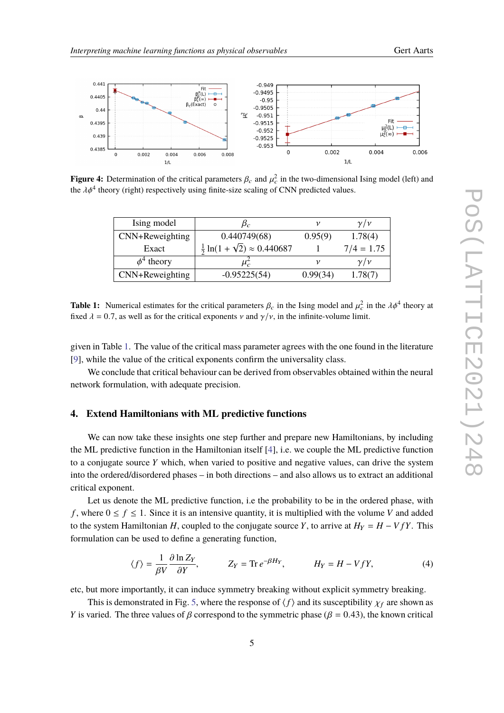

<span id="page-4-0"></span>

<span id="page-4-1"></span>**Figure 4:** Determination of the critical parameters  $\beta_c$  and  $\mu_c^2$  in the two-dimensional Ising model (left) and the 14<sup>4</sup> theory (right) proportively using finite size sooling of CNN prodicted values the  $\lambda \phi^4$  theory (right) respectively using finite-size scaling of CNN predicted values.

| Ising model     | $\beta_c$                                            |          | $\nu/\nu$    |
|-----------------|------------------------------------------------------|----------|--------------|
| CNN+Reweighting | 0.440749(68)                                         | 0.95(9)  | 1.78(4)      |
| Exact           | $\frac{1}{2}$ ln(1 + $\sqrt{2}$ ) $\approx$ 0.440687 |          | $7/4 = 1.75$ |
| $\phi^4$ theory |                                                      |          | $\nu/\nu$    |
| CNN+Reweighting | $-0.95225(54)$                                       | 0.99(34) | 1.78(7)      |

**Table 1:** Numerical estimates for the critical parameters  $\beta_c$  in the Ising model and  $\mu_c^2$  in the  $\lambda \phi^4$  theory at fixed  $\lambda = 0.7$ , as well as for the critical exponents  $\nu$  and  $\gamma/\nu$ , in the infinite-volume limit.

given in Table [1.](#page-4-1) The value of the critical mass parameter agrees with the one found in the literature [\[9\]](#page-6-8), while the value of the critical exponents confirm the universality class.

We conclude that critical behaviour can be derived from observables obtained within the neural network formulation, with adequate precision.

#### **4. Extend Hamiltonians with ML predictive functions**

We can now take these insights one step further and prepare new Hamiltonians, by including the ML predictive function in the Hamiltonian itself [\[4\]](#page-6-2), i.e. we couple the ML predictive function to a conjugate source *Y* which, when varied to positive and negative values, can drive the system into the ordered/disordered phases – in both directions – and also allows us to extract an additional critical exponent.

Let us denote the ML predictive function, i.e the probability to be in the ordered phase, with *f*, where  $0 \le f \le 1$ . Since it is an intensive quantity, it is multiplied with the volume *V* and added to the system Hamiltonian *H*, coupled to the conjugate source *Y*, to arrive at  $H_Y = H - V fY$ . This formulation can be used to define a generating function,

$$
\langle f \rangle = \frac{1}{\beta V} \frac{\partial \ln Z_Y}{\partial Y}, \qquad Z_Y = \text{Tr} \, e^{-\beta H_Y}, \qquad H_Y = H - V f Y, \tag{4}
$$

etc, but more importantly, it can induce symmetry breaking without explicit symmetry breaking.

This is demonstrated in Fig. [5,](#page-5-0) where the response of  $\langle f \rangle$  and its susceptibility  $\chi_f$  are shown as *Y* is varied. The three values of  $\beta$  correspond to the symmetric phase ( $\beta$  = 0.43), the known critical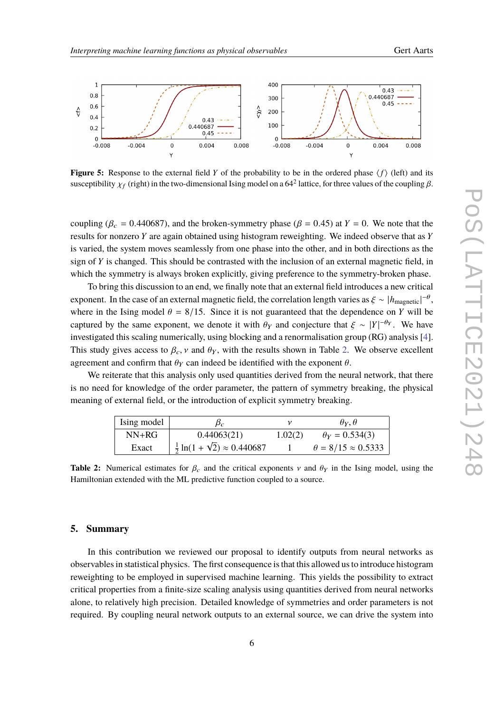<span id="page-5-0"></span>

**Figure 5:** Response to the external field Y of the probability to be in the ordered phase  $\langle f \rangle$  (left) and its susceptibility  $\chi_f$  (right) in the two-dimensional Ising model on a 64<sup>2</sup> lattice, for three values of the coupling  $\beta$ .

coupling ( $\beta_c = 0.440687$ ), and the broken-symmetry phase ( $\beta = 0.45$ ) at  $Y = 0$ . We note that the results for nonzero *Y* are again obtained using histogram reweighting. We indeed observe that as *Y* is varied, the system moves seamlessly from one phase into the other, and in both directions as the sign of *Y* is changed. This should be contrasted with the inclusion of an external magnetic field, in which the symmetry is always broken explicitly, giving preference to the symmetry-broken phase.

To bring this discussion to an end, we finally note that an external field introduces a new critical exponent. In the case of an external magnetic field, the correlation length varies as  $\xi \sim |h_{\text{magnetic}}|^{-\theta}$ ,<br>where in the Ising model  $\theta = 8/15$ . Since it is not guaranteed that the dependence on *K* will be where in the Ising model  $\theta = 8/15$ . Since it is not guaranteed that the dependence on *Y* will be captured by the same exponent, we denote it with  $\theta_Y$  and conjecture that  $\xi \sim |Y|^{-\theta_Y}$ . We have investigated this scaling numerically, using blocking and a renormalisation group (RG) analysis [\[4\]](#page-6-2). This study gives access to  $\beta_c$ ,  $\nu$  and  $\theta_Y$ , with the results shown in Table [2.](#page-5-1) We observe excellent agreement and confirm that  $\theta_Y$  can indeed be identified with the exponent  $\theta$ .

<span id="page-5-1"></span>We reiterate that this analysis only used quantities derived from the neural network, that there is no need for knowledge of the order parameter, the pattern of symmetry breaking, the physical meaning of external field, or the introduction of explicit symmetry breaking.

| $NN+RG$<br>$\theta_Y = 0.534(3)$<br>0.44063(21)<br>1.02(2) | Ising model | $\beta_c$                                            | $\theta_Y$ , $\theta$          |
|------------------------------------------------------------|-------------|------------------------------------------------------|--------------------------------|
|                                                            |             |                                                      |                                |
|                                                            | Exact       | $\frac{1}{2}$ ln(1 + $\sqrt{2}$ ) $\approx$ 0.440687 | $\theta = 8/15 \approx 0.5333$ |

**Table 2:** Numerical estimates for  $\beta_c$  and the critical exponents  $\gamma$  and  $\theta<sub>Y</sub>$  in the Ising model, using the Hamiltonian extended with the ML predictive function coupled to a source.

#### **5. Summary**

In this contribution we reviewed our proposal to identify outputs from neural networks as observables in statistical physics. The first consequence is that this allowed us to introduce histogram reweighting to be employed in supervised machine learning. This yields the possibility to extract critical properties from a finite-size scaling analysis using quantities derived from neural networks alone, to relatively high precision. Detailed knowledge of symmetries and order parameters is not required. By coupling neural network outputs to an external source, we can drive the system into